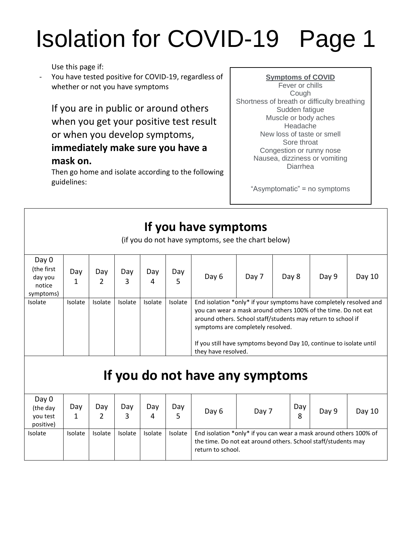# Isolation for COVID-19 Page 1

Use this page if:

You have tested positive for COVID-19, regardless of whether or not you have symptoms

If you are in public or around others when you get your positive test result or when you develop symptoms, **immediately make sure you have a mask on.** 

Then go home and isolate according to the following guidelines:

**Symptoms of COVID** Fever or chills Cough Shortness of breath or difficulty breathing Sudden fatigue Muscle or body aches Headache New loss of taste or smell Sore throat Congestion or runny nose Nausea, dizziness or vomiting Diarrhea

"Asymptomatic" = no symptoms

#### **If you have symptoms**

(if you do not have symptoms, see the chart below)

| Day 0<br>(the first<br>day you<br>notice<br>symptoms) | Day     | Day     | Day<br>3 | Day<br>4 | Day<br>5 | Day 6                                                                                                                                                                                                                                                                                                                                   | Day 7 | Day 8 | Day 9 | Day $10$ |  |
|-------------------------------------------------------|---------|---------|----------|----------|----------|-----------------------------------------------------------------------------------------------------------------------------------------------------------------------------------------------------------------------------------------------------------------------------------------------------------------------------------------|-------|-------|-------|----------|--|
| Isolate                                               | Isolate | Isolate | Isolate  | Isolate  | Isolate  | End isolation *only* if your symptoms have completely resolved and<br>you can wear a mask around others 100% of the time. Do not eat<br>around others. School staff/students may return to school if<br>symptoms are completely resolved.<br>If you still have symptoms beyond Day 10, continue to isolate until<br>they have resolved. |       |       |       |          |  |

### **If you do not have any symptoms**

| Day 0<br>(the day<br>you test<br>positive) | Day            | Dav     | Day<br>3 | Day<br>4       | Day<br>5 | Day 6                                                                                                                                                   | Day 7 | Day<br>8 | Day 9 | Day 10 |  |
|--------------------------------------------|----------------|---------|----------|----------------|----------|---------------------------------------------------------------------------------------------------------------------------------------------------------|-------|----------|-------|--------|--|
| Isolate                                    | <b>Isolate</b> | Isolate | Isolate  | <b>Isolate</b> | Isolate  | End isolation *only* if you can wear a mask around others 100% of<br>the time. Do not eat around others. School staff/students may<br>return to school. |       |          |       |        |  |